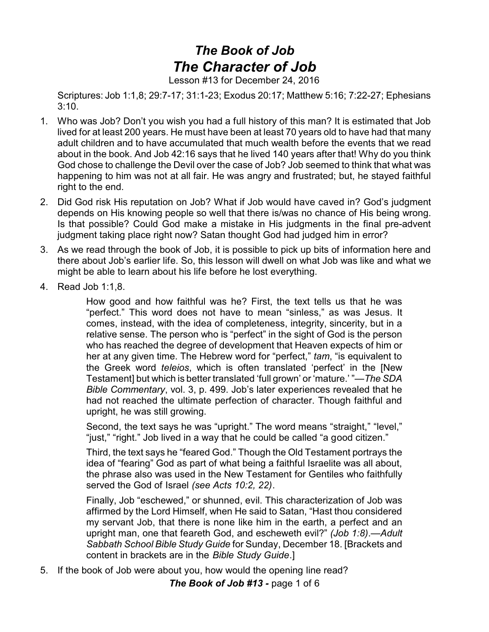## *The Book of Job The Character of Job*

Lesson #13 for December 24, 2016

Scriptures: Job 1:1,8; 29:7-17; 31:1-23; Exodus 20:17; Matthew 5:16; 7:22-27; Ephesians 3:10.

- 1. Who was Job? Don't you wish you had a full history of this man? It is estimated that Job lived for at least 200 years. He must have been at least 70 years old to have had that many adult children and to have accumulated that much wealth before the events that we read about in the book. And Job 42:16 says that he lived 140 years after that! Why do you think God chose to challenge the Devil over the case of Job? Job seemed to think that what was happening to him was not at all fair. He was angry and frustrated; but, he stayed faithful right to the end.
- 2. Did God risk His reputation on Job? What if Job would have caved in? God's judgment depends on His knowing people so well that there is/was no chance of His being wrong. Is that possible? Could God make a mistake in His judgments in the final pre-advent judgment taking place right now? Satan thought God had judged him in error?
- 3. As we read through the book of Job, it is possible to pick up bits of information here and there about Job's earlier life. So, this lesson will dwell on what Job was like and what we might be able to learn about his life before he lost everything.
- 4. Read Job 1:1,8.

How good and how faithful was he? First, the text tells us that he was "perfect." This word does not have to mean "sinless," as was Jesus. It comes, instead, with the idea of completeness, integrity, sincerity, but in a relative sense. The person who is "perfect" in the sight of God is the person who has reached the degree of development that Heaven expects of him or her at any given time. The Hebrew word for "perfect," *tam*, "is equivalent to the Greek word *teleios*, which is often translated 'perfect' in the [New Testament] but which is better translated 'full grown' or 'mature.' "—*The SDA Bible Commentary*, vol. 3, p. 499. Job's later experiences revealed that he had not reached the ultimate perfection of character. Though faithful and upright, he was still growing.

Second, the text says he was "upright." The word means "straight," "level," "just," "right." Job lived in a way that he could be called "a good citizen."

Third, the text says he "feared God." Though the Old Testament portrays the idea of "fearing" God as part of what being a faithful Israelite was all about, the phrase also was used in the New Testament for Gentiles who faithfully served the God of Israel *(see Acts 10:2, 22)*.

Finally, Job "eschewed," or shunned, evil. This characterization of Job was affirmed by the Lord Himself, when He said to Satan, "Hast thou considered my servant Job, that there is none like him in the earth, a perfect and an upright man, one that feareth God, and escheweth evil?" *(Job 1:8)*.—*Adult Sabbath School Bible Study Guide* for Sunday, December 18. [Brackets and content in brackets are in the *Bible Study Guide*.]

5. If the book of Job were about you, how would the opening line read?

*The Book of Job #13 -* page 1 of 6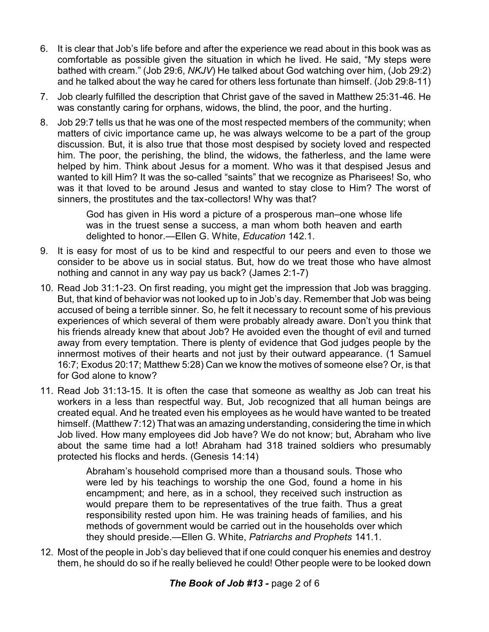- 6. It is clear that Job's life before and after the experience we read about in this book was as comfortable as possible given the situation in which he lived. He said, "My steps were bathed with cream." (Job 29:6, *NKJV*) He talked about God watching over him, (Job 29:2) and he talked about the way he cared for others less fortunate than himself. (Job 29:8-11)
- 7. Job clearly fulfilled the description that Christ gave of the saved in Matthew 25:31-46. He was constantly caring for orphans, widows, the blind, the poor, and the hurting.
- 8. Job 29:7 tells us that he was one of the most respected members of the community; when matters of civic importance came up, he was always welcome to be a part of the group discussion. But, it is also true that those most despised by society loved and respected him. The poor, the perishing, the blind, the widows, the fatherless, and the lame were helped by him. Think about Jesus for a moment. Who was it that despised Jesus and wanted to kill Him? It was the so-called "saints" that we recognize as Pharisees! So, who was it that loved to be around Jesus and wanted to stay close to Him? The worst of sinners, the prostitutes and the tax-collectors! Why was that?

God has given in His word a picture of a prosperous man–one whose life was in the truest sense a success, a man whom both heaven and earth delighted to honor.—Ellen G. White, *Education* 142.1.

- 9. It is easy for most of us to be kind and respectful to our peers and even to those we consider to be above us in social status. But, how do we treat those who have almost nothing and cannot in any way pay us back? (James 2:1-7)
- 10. Read Job 31:1-23. On first reading, you might get the impression that Job was bragging. But, that kind of behavior was not looked up to in Job's day. Remember that Job was being accused of being a terrible sinner. So, he felt it necessary to recount some of his previous experiences of which several of them were probably already aware. Don't you think that his friends already knew that about Job? He avoided even the thought of evil and turned away from every temptation. There is plenty of evidence that God judges people by the innermost motives of their hearts and not just by their outward appearance. (1 Samuel 16:7; Exodus 20:17; Matthew 5:28) Can we know the motives of someone else? Or, is that for God alone to know?
- 11. Read Job 31:13-15. It is often the case that someone as wealthy as Job can treat his workers in a less than respectful way. But, Job recognized that all human beings are created equal. And he treated even his employees as he would have wanted to be treated himself. (Matthew 7:12) That was an amazing understanding, considering the time in which Job lived. How many employees did Job have? We do not know; but, Abraham who live about the same time had a lot! Abraham had 318 trained soldiers who presumably protected his flocks and herds. (Genesis 14:14)

Abraham's household comprised more than a thousand souls. Those who were led by his teachings to worship the one God, found a home in his encampment; and here, as in a school, they received such instruction as would prepare them to be representatives of the true faith. Thus a great responsibility rested upon him. He was training heads of families, and his methods of government would be carried out in the households over which they should preside.—Ellen G. White, *Patriarchs and Prophets* 141.1.

12. Most of the people in Job's day believed that if one could conquer his enemies and destroy them, he should do so if he really believed he could! Other people were to be looked down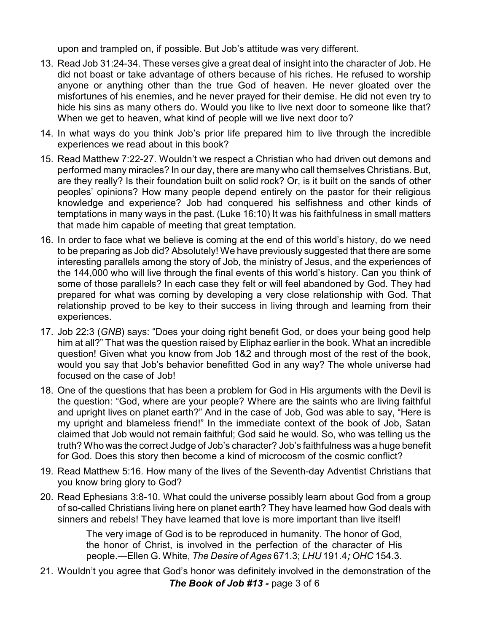upon and trampled on, if possible. But Job's attitude was very different.

- 13. Read Job 31:24-34. These verses give a great deal of insight into the character of Job. He did not boast or take advantage of others because of his riches. He refused to worship anyone or anything other than the true God of heaven. He never gloated over the misfortunes of his enemies, and he never prayed for their demise. He did not even try to hide his sins as many others do. Would you like to live next door to someone like that? When we get to heaven, what kind of people will we live next door to?
- 14. In what ways do you think Job's prior life prepared him to live through the incredible experiences we read about in this book?
- 15. Read Matthew 7:22-27. Wouldn't we respect a Christian who had driven out demons and performed many miracles? In our day, there are many who call themselves Christians. But, are they really? Is their foundation built on solid rock? Or, is it built on the sands of other peoples' opinions? How many people depend entirely on the pastor for their religious knowledge and experience? Job had conquered his selfishness and other kinds of temptations in many ways in the past. (Luke 16:10) It was his faithfulness in small matters that made him capable of meeting that great temptation.
- 16. In order to face what we believe is coming at the end of this world's history, do we need to be preparing as Job did? Absolutely! We have previously suggested that there are some interesting parallels among the story of Job, the ministry of Jesus, and the experiences of the 144,000 who will live through the final events of this world's history. Can you think of some of those parallels? In each case they felt or will feel abandoned by God. They had prepared for what was coming by developing a very close relationship with God. That relationship proved to be key to their success in living through and learning from their experiences.
- 17. Job 22:3 (*GNB*) says: "Does your doing right benefit God, or does your being good help him at all?" That was the question raised by Eliphaz earlier in the book. What an incredible question! Given what you know from Job 1&2 and through most of the rest of the book, would you say that Job's behavior benefitted God in any way? The whole universe had focused on the case of Job!
- 18. One of the questions that has been a problem for God in His arguments with the Devil is the question: "God, where are your people? Where are the saints who are living faithful and upright lives on planet earth?" And in the case of Job, God was able to say, "Here is my upright and blameless friend!" In the immediate context of the book of Job, Satan claimed that Job would not remain faithful; God said he would. So, who was telling us the truth? Who was the correct Judge of Job's character? Job's faithfulness was a huge benefit for God. Does this story then become a kind of microcosm of the cosmic conflict?
- 19. Read Matthew 5:16. How many of the lives of the Seventh-day Adventist Christians that you know bring glory to God?
- 20. Read Ephesians 3:8-10. What could the universe possibly learn about God from a group of so-called Christians living here on planet earth? They have learned how God deals with sinners and rebels! They have learned that love is more important than live itself!

The very image of God is to be reproduced in humanity. The honor of God, the honor of Christ, is involved in the perfection of the character of His people.—Ellen G. White, *The Desire of Ages* 671.3; *LHU* 191.4*; OHC* 154.3.

21. Wouldn't you agree that God's honor was definitely involved in the demonstration of the *The Book of Job #13 -* page 3 of 6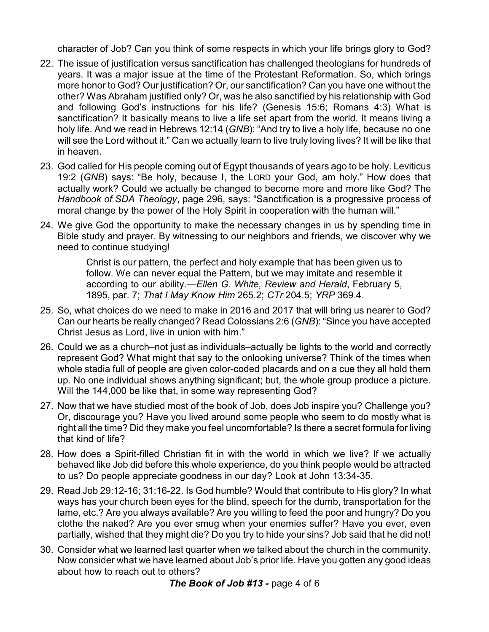character of Job? Can you think of some respects in which your life brings glory to God?

- 22. The issue of justification versus sanctification has challenged theologians for hundreds of years. It was a major issue at the time of the Protestant Reformation. So, which brings more honor to God? Our justification? Or, our sanctification? Can you have one without the other? Was Abraham justified only? Or, was he also sanctified by his relationship with God and following God's instructions for his life? (Genesis 15:6; Romans 4:3) What is sanctification? It basically means to live a life set apart from the world. It means living a holy life. And we read in Hebrews 12:14 (*GNB*): "And try to live a holy life, because no one will see the Lord without it." Can we actually learn to live truly loving lives? It will be like that in heaven.
- 23. God called for His people coming out of Egypt thousands of years ago to be holy. Leviticus 19:2 (*GNB*) says: "Be holy, because I, the LORD your God, am holy." How does that actually work? Could we actually be changed to become more and more like God? The *Handbook of SDA Theology*, page 296, says: "Sanctification is a progressive process of moral change by the power of the Holy Spirit in cooperation with the human will."
- 24. We give God the opportunity to make the necessary changes in us by spending time in Bible study and prayer. By witnessing to our neighbors and friends, we discover why we need to continue studying!

Christ is our pattern, the perfect and holy example that has been given us to follow. We can never equal the Pattern, but we may imitate and resemble it according to our ability.—*Ellen G. White, Review and Herald*, February 5, 1895, par. 7; *That I May Know Him* 265.2; *CTr* 204.5; *YRP* 369.4.

- 25. So, what choices do we need to make in 2016 and 2017 that will bring us nearer to God? Can our hearts be really changed? Read Colossians 2:6 (*GNB*): "Since you have accepted Christ Jesus as Lord, live in union with him."
- 26. Could we as a church–not just as individuals–actually be lights to the world and correctly represent God? What might that say to the onlooking universe? Think of the times when whole stadia full of people are given color-coded placards and on a cue they all hold them up. No one individual shows anything significant; but, the whole group produce a picture. Will the 144,000 be like that, in some way representing God?
- 27. Now that we have studied most of the book of Job, does Job inspire you? Challenge you? Or, discourage you? Have you lived around some people who seem to do mostly what is right all the time? Did they make you feel uncomfortable? Is there a secret formula for living that kind of life?
- 28. How does a Spirit-filled Christian fit in with the world in which we live? If we actually behaved like Job did before this whole experience, do you think people would be attracted to us? Do people appreciate goodness in our day? Look at John 13:34-35.
- 29. Read Job 29:12-16; 31:16-22. Is God humble? Would that contribute to His glory? In what ways has your church been eyes for the blind, speech for the dumb, transportation for the lame, etc.? Are you always available? Are you willing to feed the poor and hungry? Do you clothe the naked? Are you ever smug when your enemies suffer? Have you ever, even partially, wished that they might die? Do you try to hide your sins? Job said that he did not!
- 30. Consider what we learned last quarter when we talked about the church in the community. Now consider what we have learned about Job's prior life. Have you gotten any good ideas about how to reach out to others?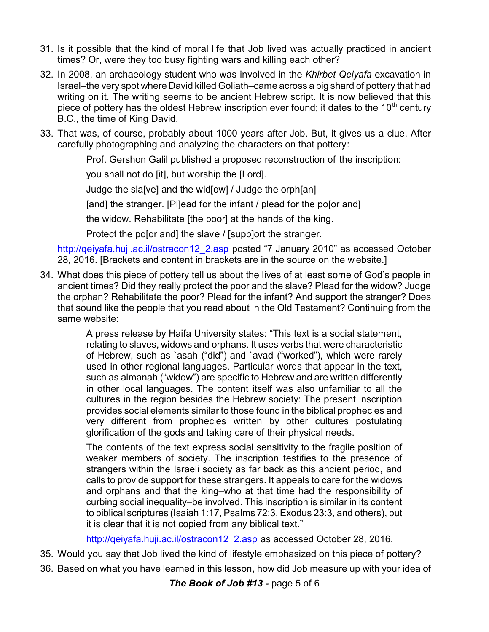- 31. Is it possible that the kind of moral life that Job lived was actually practiced in ancient times? Or, were they too busy fighting wars and killing each other?
- 32. In 2008, an archaeology student who was involved in the *Khirbet Qeiyafa* excavation in Israel–the very spot where David killed Goliath–came across a big shard of pottery that had writing on it. The writing seems to be ancient Hebrew script. It is now believed that this piece of pottery has the oldest Hebrew inscription ever found; it dates to the 10<sup>th</sup> century B.C., the time of King David.
- 33. That was, of course, probably about 1000 years after Job. But, it gives us a clue. After carefully photographing and analyzing the characters on that pottery:

Prof. Gershon Galil published a proposed reconstruction of the inscription:

you shall not do [it], but worship the [Lord].

Judge the sla[ve] and the wid[ow] / Judge the orph[an]

[and] the stranger. [Pl]ead for the infant / plead for the po[or and]

the widow. Rehabilitate [the poor] at the hands of the king.

Protect the po[or and] the slave / [supp]ort the stranger.

[http://qeiyafa.huji.ac.il/ostracon12\\_2.asp](http://qeiyafa.huji.ac.il/ostracon12_2.asp) posted "7 January 2010" as accessed October 28, 2016. [Brackets and content in brackets are in the source on the website.]

34. What does this piece of pottery tell us about the lives of at least some of God's people in ancient times? Did they really protect the poor and the slave? Plead for the widow? Judge the orphan? Rehabilitate the poor? Plead for the infant? And support the stranger? Does that sound like the people that you read about in the Old Testament? Continuing from the same website:

> A press release by Haifa University states: "This text is a social statement, relating to slaves, widows and orphans. It uses verbs that were characteristic of Hebrew, such as `asah ("did") and `avad ("worked"), which were rarely used in other regional languages. Particular words that appear in the text, such as almanah ("widow") are specific to Hebrew and are written differently in other local languages. The content itself was also unfamiliar to all the cultures in the region besides the Hebrew society: The present inscription provides social elements similar to those found in the biblical prophecies and very different from prophecies written by other cultures postulating glorification of the gods and taking care of their physical needs.

> The contents of the text express social sensitivity to the fragile position of weaker members of society. The inscription testifies to the presence of strangers within the Israeli society as far back as this ancient period, and calls to provide support for these strangers. It appeals to care for the widows and orphans and that the king–who at that time had the responsibility of curbing social inequality–be involved. This inscription is similar in its content to biblical scriptures (Isaiah 1:17, Psalms 72:3, Exodus 23:3, and others), but it is clear that it is not copied from any biblical text."

http://qeiyafa.huji.ac.il/ostracon12 2.asp as accessed October 28, 2016.

- 35. Would you say that Job lived the kind of lifestyle emphasized on this piece of pottery?
- 36. Based on what you have learned in this lesson, how did Job measure up with your idea of